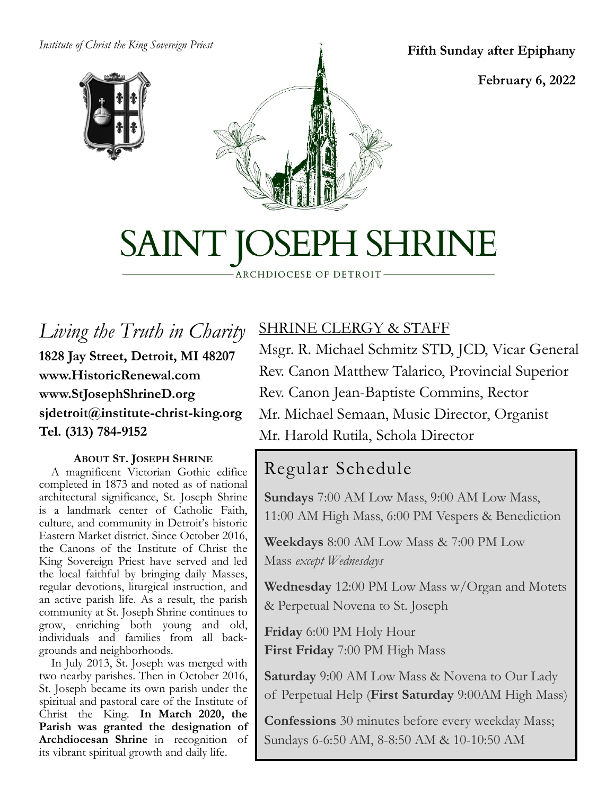#### *Institute of Christ the King Sovereign Priest*



**Fifth Sunday after Epiphany**

**February 6, 2022**

# SAINT JOSEPH SHRINE

ARCHDIOCESE OF DETROIT

*Living the Truth in Charity* **1828 Jay Street, Detroit, MI 48207 www.HistoricRenewal.com www.StJosephShrineD.org sjdetroit@institute-christ-king.org Tel. (313) 784-9152**

#### **ABOUT ST. JOSEPH SHRINE**

 A magnificent Victorian Gothic edifice completed in 1873 and noted as of national architectural significance, St. Joseph Shrine is a landmark center of Catholic Faith, culture, and community in Detroit's historic Eastern Market district. Since October 2016, the Canons of the Institute of Christ the King Sovereign Priest have served and led the local faithful by bringing daily Masses, regular devotions, liturgical instruction, and an active parish life. As a result, the parish community at St. Joseph Shrine continues to grow, enriching both young and old, individuals and families from all backgrounds and neighborhoods.

 In July 2013, St. Joseph was merged with two nearby parishes. Then in October 2016, St. Joseph became its own parish under the spiritual and pastoral care of the Institute of Christ the King. **In March 2020, the Parish was granted the designation of Archdiocesan Shrine** in recognition of its vibrant spiritual growth and daily life.

# SHRINE CLERGY & STAFF

Msgr. R. Michael Schmitz STD, JCD, Vicar General Rev. Canon Matthew Talarico, Provincial Superior Rev. Canon Jean-Baptiste Commins, Rector Mr. Michael Semaan, Music Director, Organist Mr. Harold Rutila, Schola Director

# Regular Schedule

**Sundays** 7:00 AM Low Mass, 9:00 AM Low Mass, 11:00 AM High Mass, 6:00 PM Vespers & Benediction

**Weekdays** 8:00 AM Low Mass & 7:00 PM Low Mass *except Wednesdays*

**Wednesday** 12:00 PM Low Mass w/Organ and Motets & Perpetual Novena to St. Joseph

**Friday** 6:00 PM Holy Hour **First Friday** 7:00 PM High Mass

**Saturday** 9:00 AM Low Mass & Novena to Our Lady of Perpetual Help (**First Saturday** 9:00AM High Mass)

**Confessions** 30 minutes before every weekday Mass; Sundays 6-6:50 AM, 8-8:50 AM & 10-10:50 AM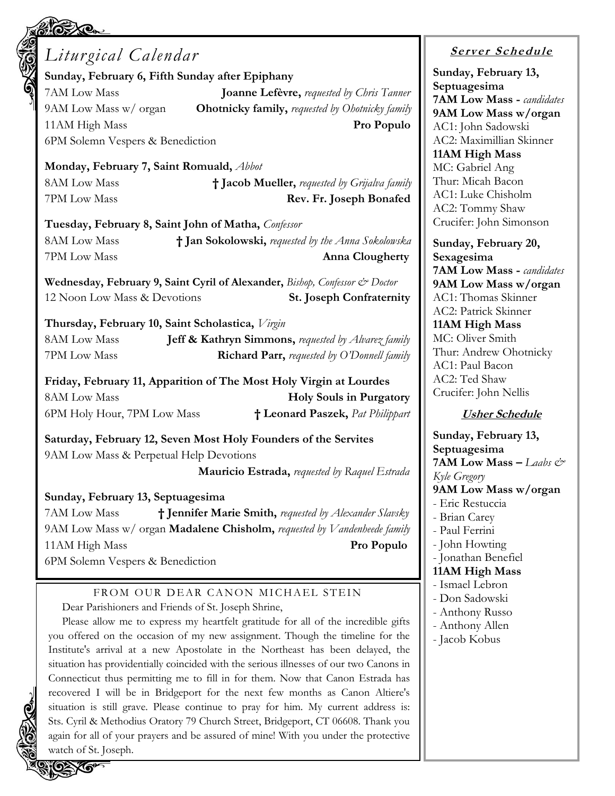| Liturgical Calendar                                                         |                                                                |
|-----------------------------------------------------------------------------|----------------------------------------------------------------|
| Sunday, February 6, Fifth Sunday after Epiphany                             |                                                                |
| 7AM Low Mass                                                                | <b>Joanne Lefèvre, requested by Chris Tanner</b>               |
| 9AM Low Mass w/ organ                                                       | <b>Ohotnicky family, requested by Ohotnicky family</b>         |
| 11AM High Mass                                                              | Pro Populo                                                     |
| 6PM Solemn Vespers & Benediction                                            |                                                                |
| Monday, February 7, Saint Romuald, Abbot                                    |                                                                |
| <b>8AM Low Mass</b>                                                         | † Jacob Mueller, requested by Grijalva family                  |
| 7PM Low Mass                                                                | Rev. Fr. Joseph Bonafed                                        |
| Tuesday, February 8, Saint John of Matha, Confessor                         |                                                                |
| 8AM Low Mass                                                                | † Jan Sokolowski, requested by the Anna Sokolowska             |
| 7PM Low Mass                                                                | <b>Anna Clougherty</b>                                         |
| Wednesday, February 9, Saint Cyril of Alexander, Bishop, Confessor & Doctor |                                                                |
| 12 Noon Low Mass & Devotions                                                | <b>St. Joseph Confraternity</b>                                |
| Thursday, February 10, Saint Scholastica, Virgin                            |                                                                |
| <b>8AM Low Mass</b>                                                         | <b>Jeff &amp; Kathryn Simmons, requested by Alvarez family</b> |
| 7PM Low Mass                                                                | Richard Parr, requested by O'Donnell family                    |
| Friday, February 11, Apparition of The Most Holy Virgin at Lourdes          |                                                                |
| <b>8AM Low Mass</b>                                                         | <b>Holy Souls in Purgatory</b>                                 |
| 6PM Holy Hour, 7PM Low Mass                                                 | † Leonard Paszek, Pat Philippart                               |
| Saturday, February 12, Seven Most Holy Founders of the Servites             |                                                                |
| 9AM Low Mass & Perpetual Help Devotions                                     |                                                                |
|                                                                             | <b>Mauricio Estrada, requested by Raquel Estrada</b>           |
|                                                                             |                                                                |

#### **Sunday, February 13, Septuagesima**

7AM Low Mass **† Jennifer Marie Smith,** *requested by Alexander Slavsky* 9AM Low Mass w/ organ **Madalene Chisholm,** *requested by Vandenheede family* 11AM High Mass **Pro Populo**

6PM Solemn Vespers & Benediction

#### FROM OUR DEAR CANON MICHAEL STEIN Dear Parishioners and Friends of St. Joseph Shrine,

Please allow me to express my heartfelt gratitude for all of the incredible gifts you offered on the occasion of my new assignment. Though the timeline for the Institute's arrival at a new Apostolate in the Northeast has been delayed, the situation has providentially coincided with the serious illnesses of our two Canons in Connecticut thus permitting me to fill in for them. Now that Canon Estrada has recovered I will be in Bridgeport for the next few months as Canon Altiere's situation is still grave. Please continue to pray for him. My current address is: Sts. Cyril & Methodius Oratory 79 Church Street, Bridgeport, CT 06608. Thank you again for all of your prayers and be assured of mine! With you under the protective watch of St. Joseph.

# **<sup>S</sup> <sup>e</sup> rv er <sup>S</sup> <sup>c</sup> he du le**

**Sunday, February 13, Septuagesima 7AM Low Mass -** *candidates* **9AM Low Mass w/organ** AC1: John Sadowski AC2: Maximillian Skinner **11AM High Mass** MC: Gabriel Ang Thur: Micah Bacon AC1: Luke Chisholm AC2: Tommy Shaw Crucifer: John Simonson

**Sunday, February 20, Sexagesima 7AM Low Mass -** *candidates* **9AM Low Mass w/organ** AC1: Thomas Skinner AC2: Patrick Skinner **11AM High Mass** MC: Oliver Smith Thur: Andrew Ohotnicky AC1: Paul Bacon AC2: Ted Shaw Crucifer: John Nellis

#### **Usher Schedule**

**Sunday, February 13, Septuagesima 7AM Low Mass –** *Laabs & Kyle Gregory* **9AM Low Mass w/organ** - Eric Restuccia - Brian Carey - Paul Ferrini - John Howting - Jonathan Benefiel **11AM High Mass** - Ismael Lebron - Don Sadowski - Anthony Russo - Anthony Allen - Jacob Kobus

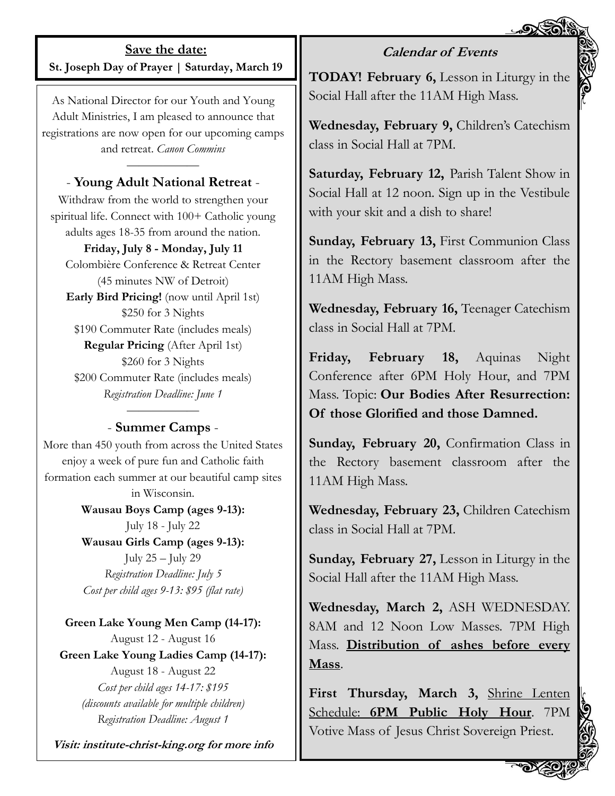#### **Calendar of Events**

**Save the date: St. Joseph Day of Prayer | Saturday, March 19**

As National Director for our Youth and Young Adult Ministries, I am pleased to announce that registrations are now open for our upcoming camps and retreat. *Canon Commins*

#### *——————* - **Young Adult National Retreat** -

Withdraw from the world to strengthen your spiritual life. Connect with 100+ Catholic young adults ages 18-35 from around the nation.

#### **Friday, July 8 - Monday, July 11**

Colombière Conference & Retreat Center (45 minutes NW of Detroit) **Early Bird Pricing!** (now until April 1st) \$250 for 3 Nights \$190 Commuter Rate (includes meals) **Regular Pricing** (After April 1st) \$260 for 3 Nights \$200 Commuter Rate (includes meals) *Registration Deadline: June 1*

#### *——————* - **Summer Camps** -

More than 450 youth from across the United States enjoy a week of pure fun and Catholic faith formation each summer at our beautiful camp sites in Wisconsin.

> **Wausau Boys Camp (ages 9-13):**  July 18 - July 22

> **Wausau Girls Camp (ages 9-13):**  July 25 – July 29 *Registration Deadline: July 5 Cost per child ages 9-13: \$95 (flat rate)*

**Green Lake Young Men Camp (14-17):**  August 12 - August 16 **Green Lake Young Ladies Camp (14-17):**  August 18 - August 22 *Cost per child ages 14-17: \$195 (discounts available for multiple children) Registration Deadline: August 1*

**Visit: institute-christ-king.org for more info**

**TODAY! February 6,** Lesson in Liturgy in the Social Hall after the 11AM High Mass.

**Wednesday, February 9,** Children's Catechism class in Social Hall at 7PM.

**Saturday, February 12,** Parish Talent Show in Social Hall at 12 noon. Sign up in the Vestibule with your skit and a dish to share!

**Sunday, February 13,** First Communion Class in the Rectory basement classroom after the 11AM High Mass.

**Wednesday, February 16,** Teenager Catechism class in Social Hall at 7PM.

**Friday, February 18,** Aquinas Night Conference after 6PM Holy Hour, and 7PM Mass. Topic: **Our Bodies After Resurrection: Of those Glorified and those Damned.**

**Sunday, February 20,** Confirmation Class in the Rectory basement classroom after the 11AM High Mass.

**Wednesday, February 23,** Children Catechism class in Social Hall at 7PM.

**Sunday, February 27,** Lesson in Liturgy in the Social Hall after the 11AM High Mass.

**Wednesday, March 2,** ASH WEDNESDAY. 8AM and 12 Noon Low Masses. 7PM High Mass. **Distribution of ashes before every Mass**.

**First Thursday, March 3,** Shrine Lenten Schedule: **6PM Public Holy Hour**. 7PM Votive Mass of Jesus Christ Sovereign Priest.